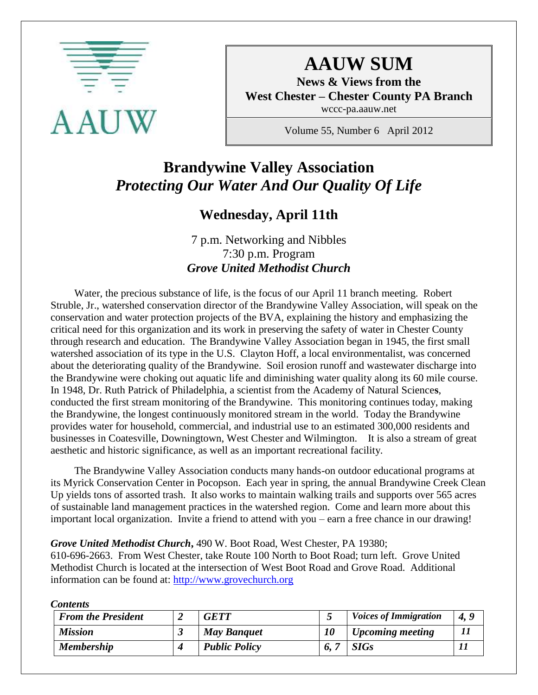

# **AAUW SUM**

**News & Views from the West Chester – Chester County PA Branch** wccc-pa.aauw.net

Volume 55, Number 6 April 2012

# **Brandywine Valley Association** *Protecting Our Water And Our Quality Of Life*

## **Wednesday, April 11th**

7 p.m. Networking and Nibbles 7:30 p.m. Program *Grove United Methodist Church*

 Water, the precious substance of life, is the focus of our April 11 branch meeting. Robert Struble, Jr., watershed conservation director of the Brandywine Valley Association, will speak on the conservation and water protection projects of the BVA, explaining the history and emphasizing the critical need for this organization and its work in preserving the safety of water in Chester County through research and education. The Brandywine Valley Association began in 1945, the first small watershed association of its type in the U.S. Clayton Hoff, a local environmentalist, was concerned about the deteriorating quality of the Brandywine. Soil erosion runoff and wastewater discharge into the Brandywine were choking out aquatic life and diminishing water quality along its 60 mile course. In 1948, Dr. Ruth Patrick of Philadelphia, a scientist from the Academy of Natural Science**s**, conducted the first stream monitoring of the Brandywine. This monitoring continues today, making the Brandywine, the longest continuously monitored stream in the world. Today the Brandywine provides water for household, commercial, and industrial use to an estimated 300,000 residents and businesses in Coatesville, Downingtown, West Chester and Wilmington. It is also a stream of great aesthetic and historic significance, as well as an important recreational facility.

 The Brandywine Valley Association conducts many hands-on outdoor educational programs at its Myrick Conservation Center in Pocopson. Each year in spring, the annual Brandywine Creek Clean Up yields tons of assorted trash. It also works to maintain walking trails and supports over 565 acres of sustainable land management practices in the watershed region. Come and learn more about this important local organization. Invite a friend to attend with you – earn a free chance in our drawing!

#### *Grove United Methodist Church***,** 490 W. Boot Road, West Chester, PA 19380;

610-696-2663. From West Chester, take Route 100 North to Boot Road; turn left. Grove United Methodist Church is located at the intersection of West Boot Road and Grove Road. Additional information can be found at: [http://www.grovechurch.org](http://www.grovechurch.org/)

| <b>From the President</b> | <b>GETT</b>          |     | <b>Voices of Immigration</b> | 4, 9 |
|---------------------------|----------------------|-----|------------------------------|------|
| <b>Mission</b>            | <b>May Banquet</b>   |     | <b>Upcoming meeting</b>      |      |
| <b>Membership</b>         | <b>Public Policy</b> | 6.7 | <b>SIGs</b>                  |      |

*Contents*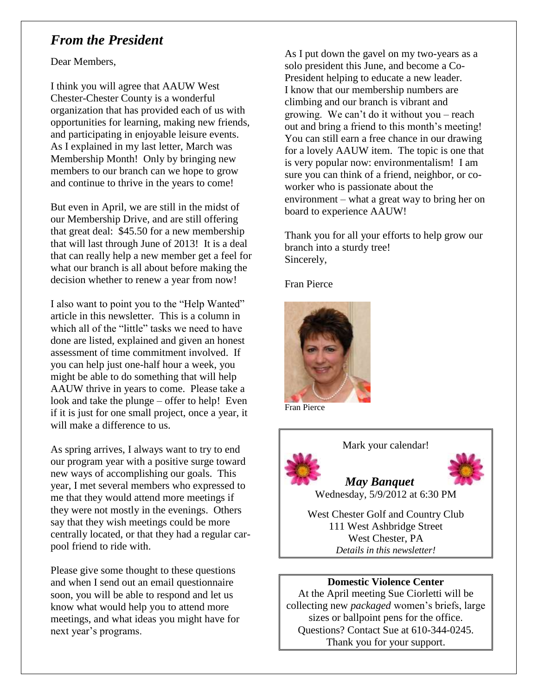### *From the President*

Dear Members,

I think you will agree that AAUW West Chester-Chester County is a wonderful organization that has provided each of us with opportunities for learning, making new friends, and participating in enjoyable leisure events. As I explained in my last letter, March was Membership Month! Only by bringing new members to our branch can we hope to grow and continue to thrive in the years to come!

But even in April, we are still in the midst of our Membership Drive, and are still offering that great deal: \$45.50 for a new membership that will last through June of 2013! It is a deal that can really help a new member get a feel for what our branch is all about before making the decision whether to renew a year from now!

I also want to point you to the "Help Wanted" article in this newsletter. This is a column in which all of the "little" tasks we need to have done are listed, explained and given an honest assessment of time commitment involved. If you can help just one-half hour a week, you might be able to do something that will help AAUW thrive in years to come. Please take a look and take the plunge – offer to help! Even if it is just for one small project, once a year, it will make a difference to us.

As spring arrives, I always want to try to end our program year with a positive surge toward new ways of accomplishing our goals. This year, I met several members who expressed to me that they would attend more meetings if they were not mostly in the evenings. Others say that they wish meetings could be more centrally located, or that they had a regular carpool friend to ride with.

Please give some thought to these questions and when I send out an email questionnaire soon, you will be able to respond and let us know what would help you to attend more meetings, and what ideas you might have for next year's programs.

As I put down the gavel on my two-years as a solo president this June, and become a Co-President helping to educate a new leader. I know that our membership numbers are climbing and our branch is vibrant and growing. We can't do it without you – reach out and bring a friend to this month's meeting! You can still earn a free chance in our drawing for a lovely AAUW item. The topic is one that is very popular now: environmentalism! I am sure you can think of a friend, neighbor, or coworker who is passionate about the environment – what a great way to bring her on board to experience AAUW!

Thank you for all your efforts to help grow our branch into a sturdy tree! Sincerely,

Fran Pierce



Fran Pierce





Wednesday, 5/9/2012 at 6:30 PM

West Chester Golf and Country Club 111 West Ashbridge Street West Chester, PA *Details in this newsletter!*

### **Domestic Violence Center**

At the April meeting Sue Ciorletti will be collecting new *packaged* women's briefs, large sizes or ballpoint pens for the office. Questions? Contact Sue at 610-344-0245. Thank you for your support.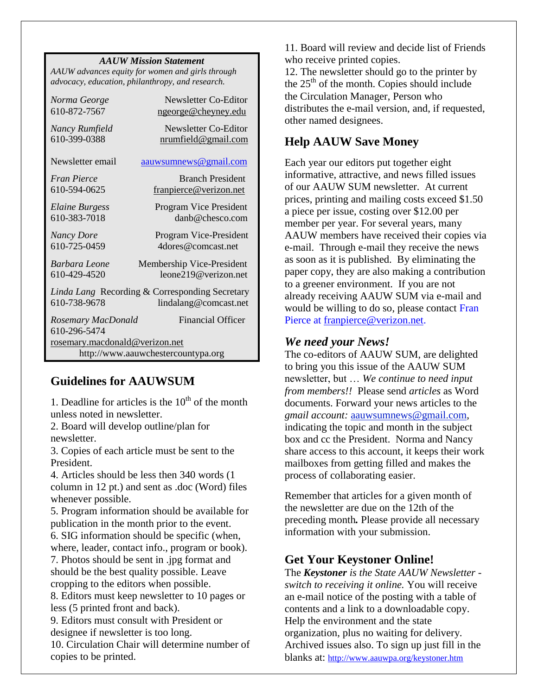#### *AAUW Mission Statement*

*AAUW advances equity for women and girls through advocacy, education, philanthropy, and research.*

| Norma George                                   | Newsletter Co-Editor                      |  |  |  |
|------------------------------------------------|-------------------------------------------|--|--|--|
| 610-872-7567                                   | ngeorge@cheyney.edu                       |  |  |  |
| Nancy Rumfield                                 | Newsletter Co-Editor                      |  |  |  |
| 610-399-0388                                   | nrumfield@gmail.com                       |  |  |  |
| Newsletter email                               | aauwsumnews@gmail.com                     |  |  |  |
| Fran Pierce                                    | <b>Branch President</b>                   |  |  |  |
| 610-594-0625                                   | franpierce@verizon.net                    |  |  |  |
| Elaine Burgess<br>610-383-7018                 | Program Vice President<br>danb@chesco.com |  |  |  |
| <b>Nancy Dore</b>                              | Program Vice-President                    |  |  |  |
| 610-725-0459                                   | 4 dores @comcast.net                      |  |  |  |
| Barbara Leone                                  | Membership Vice-President                 |  |  |  |
| 610-429-4520                                   | leone219@verizon.net                      |  |  |  |
| Linda Lang Recording & Corresponding Secretary |                                           |  |  |  |
| 610-738-9678                                   | lindalang@comcast.net                     |  |  |  |
| Rosemary MacDonald<br>610-296-5474             | <b>Financial Officer</b>                  |  |  |  |
| rosemary.macdonald@verizon.net                 |                                           |  |  |  |
| http://www.aauwchestercountypa.org             |                                           |  |  |  |

### **Guidelines for AAUWSUM**

1. Deadline for articles is the  $10<sup>th</sup>$  of the month unless noted in newsletter.

2. Board will develop outline/plan for newsletter.

3. Copies of each article must be sent to the President.

4. Articles should be less then 340 words (1 column in 12 pt.) and sent as .doc (Word) files whenever possible.

5. Program information should be available for publication in the month prior to the event. 6. SIG information should be specific (when,

where, leader, contact info., program or book). 7. Photos should be sent in .jpg format and should be the best quality possible. Leave cropping to the editors when possible.

8. Editors must keep newsletter to 10 pages or less (5 printed front and back).

9. Editors must consult with President or designee if newsletter is too long.

10. Circulation Chair will determine number of copies to be printed.

11. Board will review and decide list of Friends who receive printed copies.

12. The newsletter should go to the printer by the  $25<sup>th</sup>$  of the month. Copies should include the Circulation Manager, Person who distributes the e-mail version, and, if requested, other named designees.

### **Help AAUW Save Money**

Each year our editors put together eight informative, attractive, and news filled issues of our AAUW SUM newsletter. At current prices, printing and mailing costs exceed \$1.50 a piece per issue, costing over \$12.00 per member per year. For several years, many AAUW members have received their copies via e-mail. Through e-mail they receive the news as soon as it is published. By eliminating the paper copy, they are also making a contribution to a greener environment. If you are not already receiving AAUW SUM via e-mail and would be willing to do so, please contact Fran Pierce at [franpierce@verizon.net.](mailto:franpierce@verizon.net)

### *We need your News!*

The co-editors of AAUW SUM, are delighted to bring you this issue of the AAUW SUM newsletter, but … *We continue to need input from members!!* Please send *articles* as Word documents. Forward your news articles to the *gmail account:* [aauwsumnews@gmail.com,](mailto:aauwsum@gmail.com) indicating the topic and month in the subject box and cc the President. Norma and Nancy share access to this account, it keeps their work mailboxes from getting filled and makes the process of collaborating easier.

Remember that articles for a given month of the newsletter are due on the 12th of the preceding month*.* Please provide all necessary information with your submission.

### **Get Your Keystoner Online!**

The *Keystoner is the State AAUW Newsletter switch to receiving it online.* You will receive an e-mail notice of the posting with a table of contents and a link to a downloadable copy. Help the environment and the state organization, plus no waiting for delivery. Archived issues also. To sign up just fill in the blanks at: <http://www.aauwpa.org/keystoner.htm>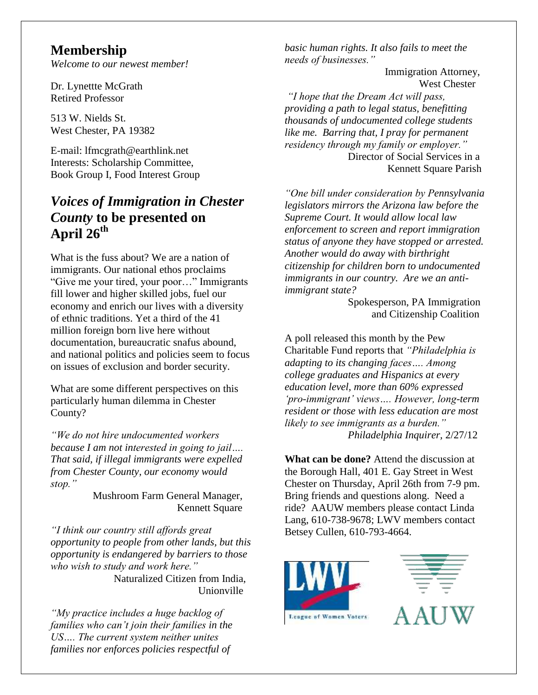### **Membership**

*Welcome to our newest member!*

Dr. Lynettte McGrath Retired Professor

513 W. Nields St. West Chester, PA 19382

E-mail: lfmcgrath@earthlink.net Interests: Scholarship Committee, Book Group I, Food Interest Group

## *Voices of Immigration in Chester County* **to be presented on April 26th**

What is the fuss about? We are a nation of immigrants. Our national ethos proclaims "Give me your tired, your poor…" Immigrants fill lower and higher skilled jobs, fuel our economy and enrich our lives with a diversity of ethnic traditions. Yet a third of the 41 million foreign born live here without documentation, bureaucratic snafus abound, and national politics and policies seem to focus on issues of exclusion and border security.

What are some different perspectives on this particularly human dilemma in Chester County?

*"We do not hire undocumented workers because I am not interested in going to jail…. That said, if illegal immigrants were expelled from Chester County, our economy would stop."*

> Mushroom Farm General Manager, Kennett Square

*"I think our country still affords great opportunity to people from other lands, but this opportunity is endangered by barriers to those who wish to study and work here."* Naturalized Citizen from India,

Unionville

*"My practice includes a huge backlog of families who can't join their families in the US…. The current system neither unites families nor enforces policies respectful of* 

*basic human rights. It also fails to meet the needs of businesses."*

 Immigration Attorney, West Chester

*"I hope that the Dream Act will pass, providing a path to legal status, benefitting thousands of undocumented college students like me. Barring that, I pray for permanent residency through my family or employer."* Director of Social Services in a Kennett Square Parish

*"One bill under consideration by Pennsylvania legislators mirrors the Arizona law before the Supreme Court. It would allow local law enforcement to screen and report immigration status of anyone they have stopped or arrested. Another would do away with birthright citizenship for children born to undocumented immigrants in our country. Are we an antiimmigrant state?*

> Spokesperson, PA Immigration and Citizenship Coalition

A poll released this month by the Pew Charitable Fund reports that *"Philadelphia is adapting to its changing faces…. Among college graduates and Hispanics at every education level, more than 60% expressed 'pro-immigrant' views…. However, long-term resident or those with less education are most likely to see immigrants as a burden." Philadelphia Inquirer,* 2/27/12

**What can be done?** Attend the discussion at the Borough Hall, 401 E. Gay Street in West Chester on Thursday, April 26th from 7-9 pm. Bring friends and questions along. Need a ride? AAUW members please contact Linda Lang, 610-738-9678; LWV members contact Betsey Cullen, 610-793-4664.



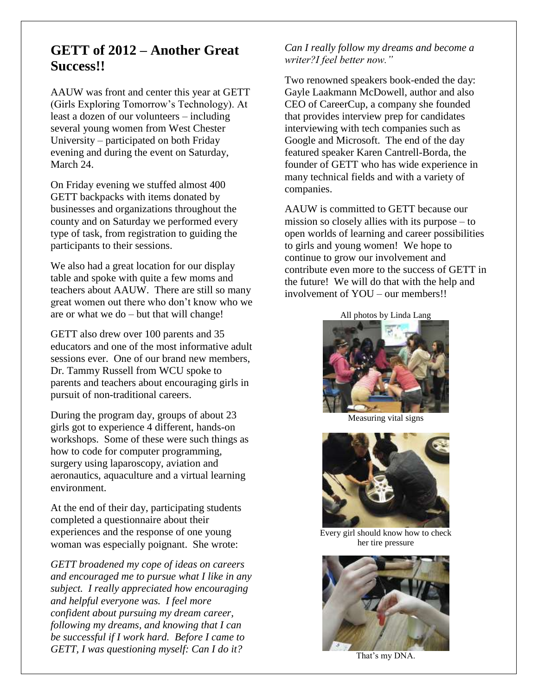### **GETT of 2012 – Another Great Success!!**

AAUW was front and center this year at GETT (Girls Exploring Tomorrow's Technology). At least a dozen of our volunteers – including several young women from West Chester University – participated on both Friday evening and during the event on Saturday, March 24.

On Friday evening we stuffed almost 400 GETT backpacks with items donated by businesses and organizations throughout the county and on Saturday we performed every type of task, from registration to guiding the participants to their sessions.

We also had a great location for our display table and spoke with quite a few moms and teachers about AAUW. There are still so many great women out there who don't know who we are or what we do – but that will change!

GETT also drew over 100 parents and 35 educators and one of the most informative adult sessions ever. One of our brand new members, Dr. Tammy Russell from WCU spoke to parents and teachers about encouraging girls in pursuit of non-traditional careers.

During the program day, groups of about 23 girls got to experience 4 different, hands-on workshops. Some of these were such things as how to code for computer programming, surgery using laparoscopy, aviation and aeronautics, aquaculture and a virtual learning environment.

At the end of their day, participating students completed a questionnaire about their experiences and the response of one young woman was especially poignant. She wrote:

*GETT broadened my cope of ideas on careers and encouraged me to pursue what I like in any subject. I really appreciated how encouraging and helpful everyone was. I feel more confident about pursuing my dream career, following my dreams, and knowing that I can be successful if I work hard. Before I came to GETT, I was questioning myself: Can I do it?* 

*Can I really follow my dreams and become a writer?I feel better now."* 

Two renowned speakers book-ended the day: Gayle Laakmann McDowell, author and also CEO of CareerCup, a company she founded that provides interview prep for candidates interviewing with tech companies such as Google and Microsoft. The end of the day featured speaker Karen Cantrell-Borda, the founder of GETT who has wide experience in many technical fields and with a variety of companies.

AAUW is committed to GETT because our mission so closely allies with its purpose – to open worlds of learning and career possibilities to girls and young women! We hope to continue to grow our involvement and contribute even more to the success of GETT in the future! We will do that with the help and involvement of YOU – our members!!

All photos by Linda Lang



Measuring vital signs



Every girl should know how to check her tire pressure



That's my DNA.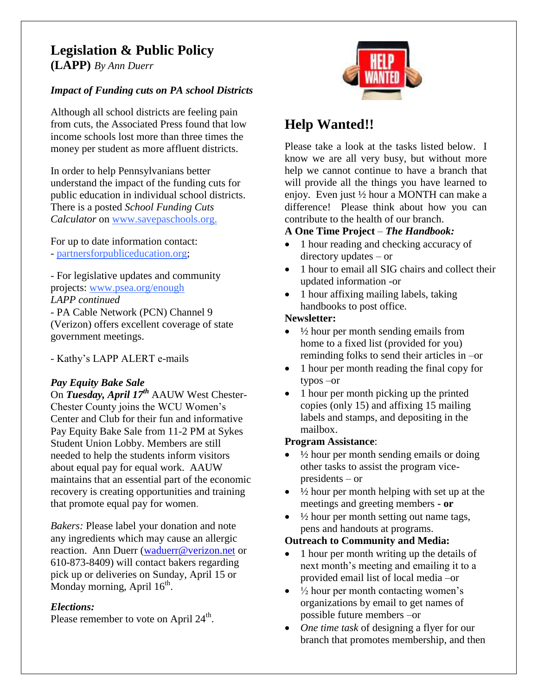# **Legislation & Public Policy**

**(LAPP)** *By Ann Duerr*

### *Impact of Funding cuts on PA school Districts*

Although all school districts are feeling pain from cuts, the Associated Press found that low income schools lost more than three times the money per student as more affluent districts.

In order to help Pennsylvanians better understand the impact of the funding cuts for public education in individual school districts. There is a posted *School Funding Cuts Calculator* on [www.savep](http://www.save/)aschools.org.

For up to date information contact: - partnersforpubliceducation.org;

- For legislative updates and community projects: [www.psea.org/enough](http://www.psea.org/enough) *LAPP continued*

- PA Cable Network (PCN) Channel 9 (Verizon) offers excellent coverage of state government meetings.

- Kathy's LAPP ALERT e-mails

### *Pay Equity Bake Sale*

On *Tuesday, April 17th* AAUW West Chester-Chester County joins the WCU Women's Center and Club for their fun and informative Pay Equity Bake Sale from 11-2 PM at Sykes Student Union Lobby. Members are still needed to help the students inform visitors about equal pay for equal work. AAUW maintains that an essential part of the economic recovery is creating opportunities and training that promote equal pay for women.

*Bakers:* Please label your donation and note any ingredients which may cause an allergic reaction. Ann Duerr [\(waduerr@verizon.net](mailto:waduerr@verizon.net) or 610-873-8409) will contact bakers regarding pick up or deliveries on Sunday, April 15 or Monday morning, April 16<sup>th</sup>.

### *Elections:*

Please remember to vote on April 24<sup>th</sup>.



# **Help Wanted!!**

Please take a look at the tasks listed below. I know we are all very busy, but without more help we cannot continue to have a branch that will provide all the things you have learned to enjoy. Even just ½ hour a MONTH can make a difference! Please think about how you can contribute to the health of our branch.

### **A One Time Project** – *The Handbook:*

- 1 hour reading and checking accuracy of directory updates – or
- 1 hour to email all SIG chairs and collect their updated information -or
- 1 hour affixing mailing labels, taking handbooks to post office.

### **Newsletter:**

- $\bullet$   $\frac{1}{2}$  hour per month sending emails from home to a fixed list (provided for you) reminding folks to send their articles in –or
- 1 hour per month reading the final copy for typos –or
- 1 hour per month picking up the printed copies (only 15) and affixing 15 mailing labels and stamps, and depositing in the mailbox.

### **Program Assistance**:

- $\frac{1}{2}$  hour per month sending emails or doing other tasks to assist the program vicepresidents – or
- ½ hour per month helping with set up at the meetings and greeting members **- or**
- ½ hour per month setting out name tags, pens and handouts at programs.

### **Outreach to Community and Media:**

- 1 hour per month writing up the details of next month's meeting and emailing it to a provided email list of local media –or
- $\bullet$   $\frac{1}{2}$  hour per month contacting women's organizations by email to get names of possible future members –or
- *One time task* of designing a flyer for our branch that promotes membership, and then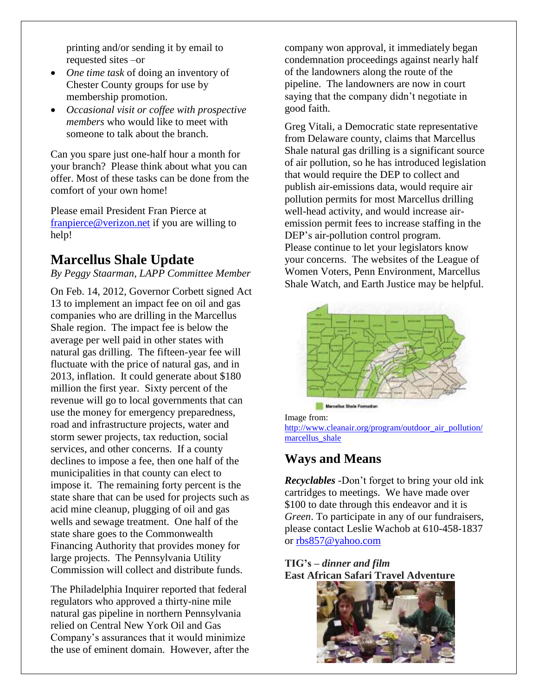printing and/or sending it by email to requested sites –or

- *One time task* of doing an inventory of Chester County groups for use by membership promotion.
- *Occasional visit or coffee with prospective members* who would like to meet with someone to talk about the branch.

Can you spare just one-half hour a month for your branch? Please think about what you can offer. Most of these tasks can be done from the comfort of your own home!

Please email President Fran Pierce at [franpierce@verizon.net](mailto:franpierce@verizon.net) if you are willing to help!

### **Marcellus Shale Update**

#### *By Peggy Staarman, LAPP Committee Member*

On Feb. 14, 2012, Governor Corbett signed Act 13 to implement an impact fee on oil and gas companies who are drilling in the Marcellus Shale region. The impact fee is below the average per well paid in other states with natural gas drilling. The fifteen-year fee will fluctuate with the price of natural gas, and in 2013, inflation. It could generate about \$180 million the first year. Sixty percent of the revenue will go to local governments that can use the money for emergency preparedness, road and infrastructure projects, water and storm sewer projects, tax reduction, social services, and other concerns. If a county declines to impose a fee, then one half of the municipalities in that county can elect to impose it. The remaining forty percent is the state share that can be used for projects such as acid mine cleanup, plugging of oil and gas wells and sewage treatment. One half of the state share goes to the Commonwealth Financing Authority that provides money for large projects. The Pennsylvania Utility Commission will collect and distribute funds.

The Philadelphia Inquirer reported that federal regulators who approved a thirty-nine mile natural gas pipeline in northern Pennsylvania relied on Central New York Oil and Gas Company's assurances that it would minimize the use of eminent domain. However, after the company won approval, it immediately began condemnation proceedings against nearly half of the landowners along the route of the pipeline. The landowners are now in court saying that the company didn't negotiate in good faith.

Greg Vitali, a Democratic state representative from Delaware county, claims that Marcellus Shale natural gas drilling is a significant source of air pollution, so he has introduced legislation that would require the DEP to collect and publish air-emissions data, would require air pollution permits for most Marcellus drilling well-head activity, and would increase airemission permit fees to increase staffing in the DEP's air-pollution control program. Please continue to let your legislators know your concerns. The websites of the League of Women Voters, Penn Environment, Marcellus Shale Watch, and Earth Justice may be helpful.



Image from: [http://www.cleanair.org/program/outdoor\\_air\\_pollution/](http://www.cleanair.org/program/outdoor_air_pollution/marcellus_shale) marcellus shale

### **Ways and Means**

*Recyclables -*Don't forget to bring your old ink cartridges to meetings. We have made over \$100 to date through this endeavor and it is *Green*. To participate in any of our fundraisers, please contact Leslie Wachob at 610-458-1837 or [rbs857@yahoo.com](mailto:rbs857@yahoo.com)

**TIG's –** *dinner and film* **East African Safari Travel Adventure** 

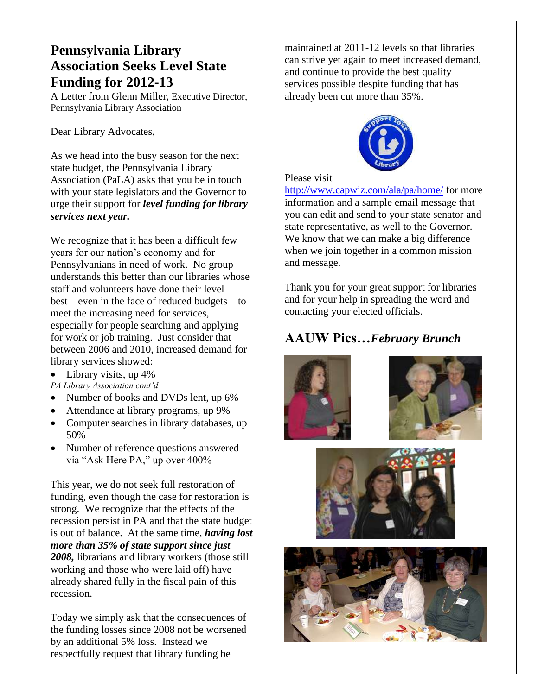### **Pennsylvania Library Association Seeks Level State Funding for 2012-13**

A Letter from Glenn Miller, Executive Director, Pennsylvania Library Association

Dear Library Advocates,

As we head into the busy season for the next state budget, the Pennsylvania Library Association (PaLA) asks that you be in touch with your state legislators and the Governor to urge their support for *level funding for library services next year.*

We recognize that it has been a difficult few years for our nation's economy and for Pennsylvanians in need of work. No group understands this better than our libraries whose staff and volunteers have done their level best—even in the face of reduced budgets—to meet the increasing need for services, especially for people searching and applying for work or job training. Just consider that between 2006 and 2010, increased demand for library services showed:

 $\bullet$  Library visits, up 4% *PA Library Association cont'd*

- Number of books and DVDs lent, up 6%
- Attendance at library programs, up 9%
- Computer searches in library databases, up 50%
- Number of reference questions answered via "Ask Here PA," up over 400%

This year, we do not seek full restoration of funding, even though the case for restoration is strong. We recognize that the effects of the recession persist in PA and that the state budget is out of balance. At the same time, *having lost more than 35% of state support since just 2008,* librarians and library workers (those still working and those who were laid off) have already shared fully in the fiscal pain of this recession.

Today we simply ask that the consequences of the funding losses since 2008 not be worsened by an additional 5% loss. Instead we respectfully request that library funding be

maintained at 2011-12 levels so that libraries can strive yet again to meet increased demand, and continue to provide the best quality services possible despite funding that has already been cut more than 35%.



Please visit

<http://www.capwiz.com/ala/pa/home/> for more information and a sample email message that you can edit and send to your state senator and state representative, as well to the Governor. We know that we can make a big difference when we join together in a common mission and message.

Thank you for your great support for libraries and for your help in spreading the word and contacting your elected officials.

### **AAUW Pics…***February Brunch*







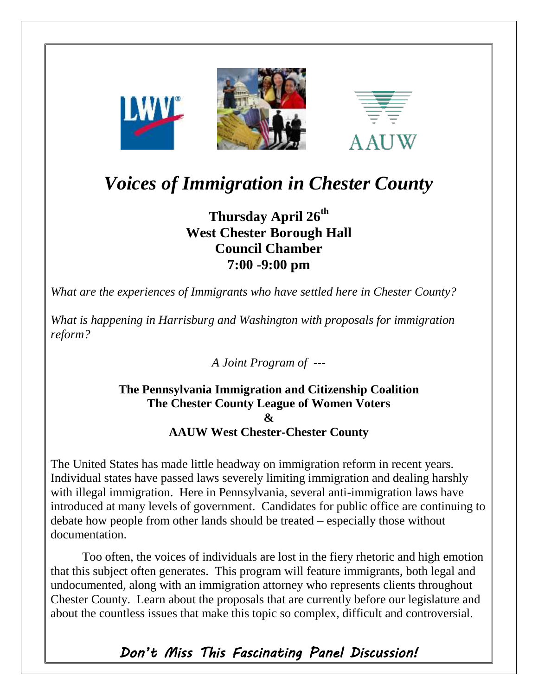

**LWVL** 



# *Voices of Immigration in Chester County*

## **Thursday April 26th West Chester Borough Hall Council Chamber 7:00 -9:00 pm**

*What are the experiences of Immigrants who have settled here in Chester County?*

*What is happening in Harrisburg and Washington with proposals for immigration reform?*

*A Joint Program of ---*

### **The Pennsylvania Immigration and Citizenship Coalition The Chester County League of Women Voters & AAUW West Chester-Chester County**

The United States has made little headway on immigration reform in recent years. Individual states have passed laws severely limiting immigration and dealing harshly with illegal immigration. Here in Pennsylvania, several anti-immigration laws have introduced at many levels of government. Candidates for public office are continuing to debate how people from other lands should be treated – especially those without documentation.

Too often, the voices of individuals are lost in the fiery rhetoric and high emotion that this subject often generates. This program will feature immigrants, both legal and undocumented, along with an immigration attorney who represents clients throughout Chester County. Learn about the proposals that are currently before our legislature and about the countless issues that make this topic so complex, difficult and controversial.

*Don't Miss This Fascinating Panel Discussion!*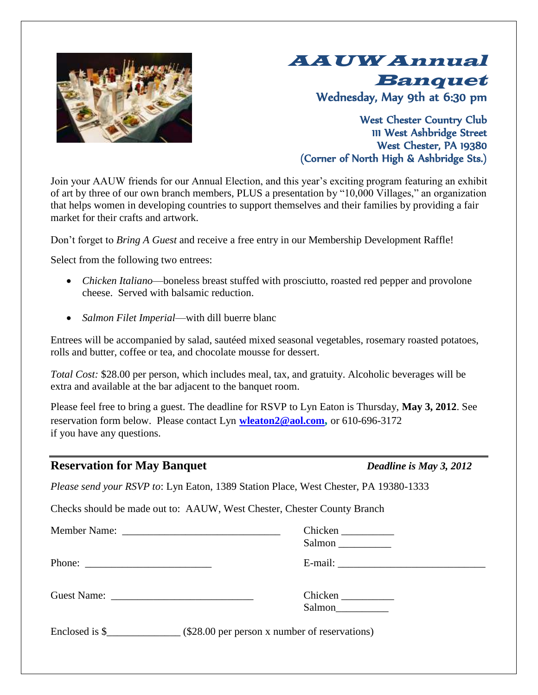

# AAUW Annual Banquet Wednesday, May 9th at 6:30 pm

West Chester Country Club 111 West Ashbridge Street West Chester, PA 19380 (Corner of North High & Ashbridge Sts.)

Join your AAUW friends for our Annual Election, and this year's exciting program featuring an exhibit of art by three of our own branch members, PLUS a presentation by "10,000 Villages," an organization that helps women in developing countries to support themselves and their families by providing a fair market for their crafts and artwork.

Don't forget to *Bring A Guest* and receive a free entry in our Membership Development Raffle!

Select from the following two entrees:

- *Chicken Italiano*—boneless breast stuffed with prosciutto, roasted red pepper and provolone cheese. Served with balsamic reduction.
- *Salmon Filet Imperial*—with dill buerre blanc

Entrees will be accompanied by salad, sautéed mixed seasonal vegetables, rosemary roasted potatoes, rolls and butter, coffee or tea, and chocolate mousse for dessert.

*Total Cost:* \$28.00 per person, which includes meal, tax, and gratuity. Alcoholic beverages will be extra and available at the bar adjacent to the banquet room.

Please feel free to bring a guest. The deadline for RSVP to Lyn Eaton is Thursday, **May 3, 2012**. See reservation form below. Please contact Lyn **[wleaton2@aol.com](mailto:wleaton2@aol.com),** or 610-696-3172 if you have any questions.

### **Reservation for May Banquet** *Deadline is May 3, 2012*

*Please send your RSVP to*: Lyn Eaton, 1389 Station Place, West Chester, PA 19380-1333

Checks should be made out to: AAUW, West Chester, Chester County Branch

|                                                           | Chicken<br>Salmon                                                       |
|-----------------------------------------------------------|-------------------------------------------------------------------------|
| Phone: $\frac{1}{\sqrt{1-\frac{1}{2}} \cdot \frac{1}{2}}$ |                                                                         |
|                                                           | Chicken<br>Salmon                                                       |
|                                                           | Enclosed is $\frac{1}{2}$ (\$28.00 per person x number of reservations) |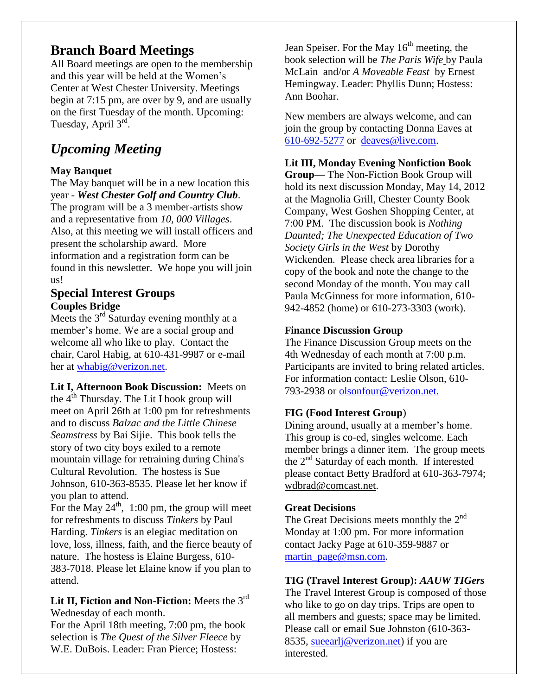### **Branch Board Meetings**

All Board meetings are open to the membership and this year will be held at the Women's Center at West Chester University. Meetings begin at 7:15 pm, are over by 9, and are usually on the first Tuesday of the month. Upcoming: Tuesday, April 3<sup>rd</sup>.

## *Upcoming Meeting*

### **May Banquet**

The May banquet will be in a new location this year - *West Chester Golf and Country Club*. The program will be a 3 member-artists show and a representative from *10, 000 Villages*. Also, at this meeting we will install officers and present the scholarship award. More information and a registration form can be found in this newsletter. We hope you will join us!

### **Special Interest Groups Couples Bridge**

Meets the  $3<sup>rd</sup>$  Saturday evening monthly at a member's home. We are a social group and welcome all who like to play. Contact the chair, Carol Habig, at 610-431-9987 or e-mail her at [whabig@verizon.net.](mailto:whabig@verizon.net)

**Lit I, Afternoon Book Discussion:** Meets on the  $4<sup>th</sup>$  Thursday. The Lit I book group will meet on April 26th at 1:00 pm for refreshments and to discuss *Balzac and the Little Chinese Seamstress* by Bai Sijie. This book tells the story of two city boys exiled to a remote mountain village for retraining during China's Cultural Revolution. The hostess is Sue Johnson, 610-363-8535. Please let her know if you plan to attend.

For the May  $24^{\text{th}}$ , 1:00 pm, the group will meet for refreshments to discuss *Tinkers* by Paul Harding. *Tinkers* is an elegiac meditation on love, loss, illness, faith, and the fierce beauty of nature. The hostess is Elaine Burgess, 610- 383-7018. Please let Elaine know if you plan to attend.

**Lit II, Fiction and Non-Fiction:** Meets the 3rd Wednesday of each month.

For the April 18th meeting, 7:00 pm, the book selection is *The Quest of the Silver Fleece* by W.E. DuBois. Leader: Fran Pierce; Hostess:

Jean Speiser. For the May  $16<sup>th</sup>$  meeting, the book selection will be *The Paris Wife* by Paula McLain and/or *A Moveable Feast* by Ernest Hemingway. Leader: Phyllis Dunn; Hostess: Ann Boohar.

New members are always welcome, and can join the group by contacting Donna Eaves at [610-692-5277](tel:/610-692-5277) or [deaves@live.com.](mailto:deaves@live.com)

### **Lit III, Monday Evening Nonfiction Book**

**Group**— The Non-Fiction Book Group will hold its next discussion Monday, May 14, 2012 at the Magnolia Grill, Chester County Book Company, West Goshen Shopping Center, at 7:00 PM. The discussion book is *Nothing Daunted; The Unexpected Education of Two Society Girls in the West* by Dorothy Wickenden. Please check area libraries for a copy of the book and note the change to the second Monday of the month. You may call Paula McGinness for more information, 610- 942-4852 (home) or 610-273-3303 (work).

### **Finance Discussion Group**

The Finance Discussion Group meets on the 4th Wednesday of each month at 7:00 p.m. Participants are invited to bring related articles. For information contact: Leslie Olson, 610- 793-2938 or olsonfour@verizon.net.

### **FIG (Food Interest Group**)

Dining around, usually at a member's home. This group is co-ed, singles welcome. Each member brings a dinner item. The group meets the 2<sup>nd</sup> Saturday of each month. If interested please contact Betty Bradford at 610-363-7974; [wdbrad@comcast.net.](mailto:wdbrad@comcast.net)

#### **Great Decisions**

The Great Decisions meets monthly the  $2<sup>nd</sup>$ Monday at 1:00 pm. For more information contact Jacky Page at 610-359-9887 or [martin\\_page@msn.com.](mailto:martin_page@msn.com)

#### **TIG (Travel Interest Group):** *AAUW TIGers*

The Travel Interest Group is composed of those who like to go on day trips. Trips are open to all members and guests; space may be limited. Please call or email Sue Johnston (610-363- 8535, sueearlj@verizon.net) if you are interested.